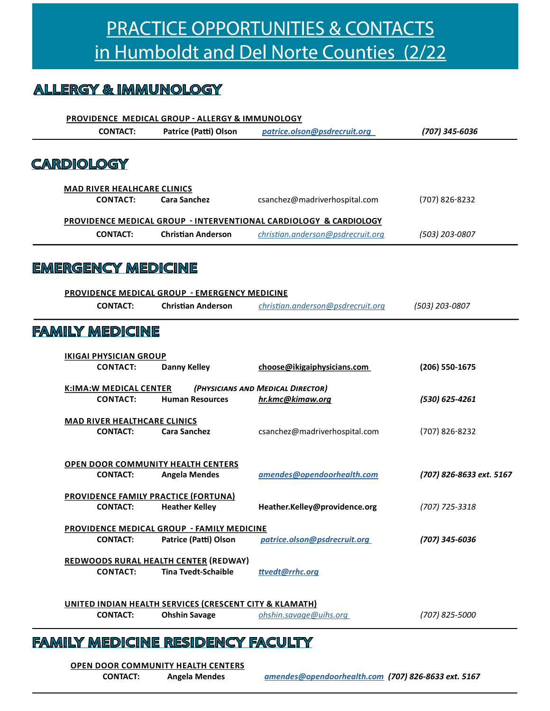# **PRACTICE OPPORTUNITIES & CONTACTS** in Humboldt and Del Norte Counties (2/22

#### **ALLERGY & IMMUNOLOGY**

|                           | PROVIDENCE MEDICAL GROUP - ALLERGY & IMMUNOLOGY |                                                                    |                                                                              |                          |  |  |
|---------------------------|-------------------------------------------------|--------------------------------------------------------------------|------------------------------------------------------------------------------|--------------------------|--|--|
|                           | <b>CONTACT:</b>                                 | Patrice (Patti) Olson                                              | patrice.olson@psdrecruit.org                                                 | (707) 345-6036           |  |  |
| <u>CARDIOLOGY</u>         |                                                 |                                                                    |                                                                              |                          |  |  |
|                           |                                                 |                                                                    |                                                                              |                          |  |  |
|                           | <b>MAD RIVER HEALHCARE CLINICS</b>              |                                                                    |                                                                              |                          |  |  |
|                           | <b>CONTACT:</b>                                 | <b>Cara Sanchez</b>                                                | csanchez@madriverhospital.com                                                | (707) 826-8232           |  |  |
|                           |                                                 |                                                                    | <b>PROVIDENCE MEDICAL GROUP - INTERVENTIONAL CARDIOLOGY &amp; CARDIOLOGY</b> |                          |  |  |
|                           | <b>CONTACT:</b>                                 | <b>Christian Anderson</b>                                          | christian.anderson@psdrecruit.org                                            | (503) 203-0807           |  |  |
|                           |                                                 |                                                                    |                                                                              |                          |  |  |
| <u>EMERGENCY MEDICINE</u> |                                                 |                                                                    |                                                                              |                          |  |  |
|                           |                                                 | <b>PROVIDENCE MEDICAL GROUP - EMERGENCY MEDICINE</b>               |                                                                              |                          |  |  |
|                           | <b>CONTACT:</b>                                 | <b>Christian Anderson</b>                                          | christian.anderson@psdrecruit.org                                            | (503) 203-0807           |  |  |
|                           |                                                 |                                                                    |                                                                              |                          |  |  |
| <u>FAMILY MEDICINE</u>    |                                                 |                                                                    |                                                                              |                          |  |  |
|                           | <b>IKIGAI PHYSICIAN GROUP</b>                   |                                                                    |                                                                              |                          |  |  |
|                           | <b>CONTACT:</b>                                 | <b>Danny Kelley</b>                                                | choose@ikigaiphysicians.com                                                  | (206) 550-1675           |  |  |
|                           | <b>K:IMA:W MEDICAL CENTER</b>                   |                                                                    | (PHYSICIANS AND MEDICAL DIRECTOR)                                            |                          |  |  |
|                           | <b>CONTACT:</b>                                 | <b>Human Resources</b>                                             | hr.kmc@kimaw.org                                                             | (530) 625-4261           |  |  |
|                           | <b>MAD RIVER HEALTHCARE CLINICS</b>             |                                                                    |                                                                              |                          |  |  |
|                           | <b>CONTACT:</b>                                 | <b>Cara Sanchez</b>                                                | csanchez@madriverhospital.com                                                | (707) 826-8232           |  |  |
|                           |                                                 |                                                                    |                                                                              |                          |  |  |
|                           |                                                 | <b>OPEN DOOR COMMUNITY HEALTH CENTERS</b>                          |                                                                              |                          |  |  |
|                           | <b>CONTACT:</b>                                 | <b>Angela Mendes</b>                                               | amendes@opendoorhealth.com                                                   | (707) 826-8633 ext. 5167 |  |  |
|                           |                                                 | <b>PROVIDENCE FAMILY PRACTICE (FORTUNA)</b>                        |                                                                              |                          |  |  |
|                           | <b>CONTACT:</b>                                 | <b>Heather Kelley</b>                                              | Heather.Kelley@providence.org                                                | (707) 725-3318           |  |  |
|                           |                                                 | <b>PROVIDENCE MEDICAL GROUP - FAMILY MEDICINE</b>                  |                                                                              |                          |  |  |
|                           | <b>CONTACT:</b>                                 | Patrice (Patti) Olson                                              | patrice.olson@psdrecruit.org                                                 | (707) 345-6036           |  |  |
|                           |                                                 | REDWOODS RURAL HEALTH CENTER (REDWAY)                              |                                                                              |                          |  |  |
|                           | <b>CONTACT:</b>                                 | <b>Tina Tvedt-Schaible</b>                                         | ttvedt@rrhc.org                                                              |                          |  |  |
|                           |                                                 |                                                                    |                                                                              |                          |  |  |
|                           |                                                 | <b>UNITED INDIAN HEALTH SERVICES (CRESCENT CITY &amp; KLAMATH)</b> |                                                                              |                          |  |  |
|                           | <b>CONTACT:</b>                                 | <b>Ohshin Savage</b>                                               | ohshin.savage@uihs.org                                                       | (707) 825-5000           |  |  |

#### **FAMILY MEDICINE RESIDENCY FACULTY**

**OPEN DOOR COMMUNITY HEALTH CENTERS** 

**CONTACT: Angela Mendes**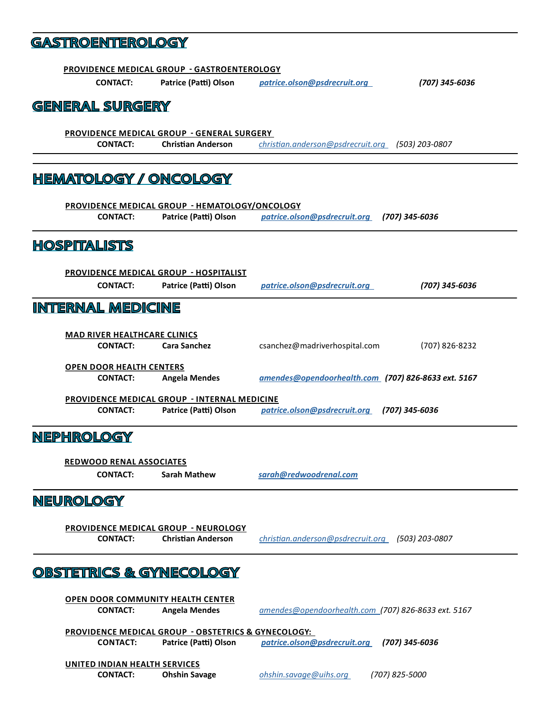## **GASTROENTEROLOGY**

|                                                    | <b>PROVIDENCE MEDICAL GROUP - GASTROENTEROLOGY</b>                                                                             |                                                     |  |  |  |  |  |
|----------------------------------------------------|--------------------------------------------------------------------------------------------------------------------------------|-----------------------------------------------------|--|--|--|--|--|
| <b>CONTACT:</b>                                    | Patrice (Patti) Olson                                                                                                          | patrice.olson@psdrecruit.org<br>(707) 345-6036      |  |  |  |  |  |
| <b>GENERAL SURGERY</b>                             |                                                                                                                                |                                                     |  |  |  |  |  |
|                                                    | <b>PROVIDENCE MEDICAL GROUP - GENERAL SURGERY</b>                                                                              |                                                     |  |  |  |  |  |
| <b>CONTACT:</b>                                    | <b>Christian Anderson</b>                                                                                                      | christian.anderson@psdrecruit.org<br>(503) 203-0807 |  |  |  |  |  |
| <u>HEMATOLOGY / ONCOLOGY</u>                       |                                                                                                                                |                                                     |  |  |  |  |  |
|                                                    | <b>PROVIDENCE MEDICAL GROUP - HEMATOLOGY/ONCOLOGY</b>                                                                          |                                                     |  |  |  |  |  |
| <b>CONTACT:</b>                                    | Patrice (Patti) Olson                                                                                                          | patrice.olson@psdrecruit.org<br>(707) 345-6036      |  |  |  |  |  |
| <b>HOSPITALISTS</b>                                |                                                                                                                                |                                                     |  |  |  |  |  |
|                                                    | <b>PROVIDENCE MEDICAL GROUP - HOSPITALIST</b>                                                                                  |                                                     |  |  |  |  |  |
| <b>CONTACT:</b>                                    | Patrice (Patti) Olson                                                                                                          | patrice.olson@psdrecruit.org<br>(707) 345-6036      |  |  |  |  |  |
| <u>INTERNAL MEDICINE</u>                           |                                                                                                                                |                                                     |  |  |  |  |  |
| <b>MAD RIVER HEALTHCARE CLINICS</b>                |                                                                                                                                |                                                     |  |  |  |  |  |
| <b>CONTACT:</b>                                    | <b>Cara Sanchez</b>                                                                                                            | csanchez@madriverhospital.com<br>(707) 826-8232     |  |  |  |  |  |
| <b>OPEN DOOR HEALTH CENTERS</b><br><b>CONTACT:</b> | <b>Angela Mendes</b>                                                                                                           | amendes@opendoorhealth.com (707) 826-8633 ext. 5167 |  |  |  |  |  |
| <b>CONTACT:</b>                                    | <b>PROVIDENCE MEDICAL GROUP - INTERNAL MEDICINE</b><br>Patrice (Patti) Olson<br>patrice.olson@psdrecruit.org<br>(707) 345-6036 |                                                     |  |  |  |  |  |
| <b>NEPHROLOGY</b>                                  |                                                                                                                                |                                                     |  |  |  |  |  |
|                                                    | <b>REDWOOD RENAL ASSOCIATES</b>                                                                                                |                                                     |  |  |  |  |  |
| <b>CONTACT:</b>                                    | <b>Sarah Mathew</b>                                                                                                            | sarah@redwoodrenal.com                              |  |  |  |  |  |
| <u>NEUROLOGY</u>                                   |                                                                                                                                |                                                     |  |  |  |  |  |
|                                                    | <b>PROVIDENCE MEDICAL GROUP - NEUROLOGY</b>                                                                                    |                                                     |  |  |  |  |  |
| <b>CONTACT:</b>                                    | <b>Christian Anderson</b>                                                                                                      | christian.anderson@psdrecruit.org (503) 203-0807    |  |  |  |  |  |
| OBSTETRICS & GYNECOLOGY                            |                                                                                                                                |                                                     |  |  |  |  |  |
| <b>OPEN DOOR COMMUNITY HEALTH CENTER</b>           |                                                                                                                                |                                                     |  |  |  |  |  |
| <b>CONTACT:</b>                                    | <b>Angela Mendes</b>                                                                                                           | amendes@opendoorhealth.com (707) 826-8633 ext. 5167 |  |  |  |  |  |
|                                                    | PROVIDENCE MEDICAL GROUP - OBSTETRICS & GYNECOLOGY:                                                                            |                                                     |  |  |  |  |  |
| <b>CONTACT:</b>                                    | Patrice (Patti) Olson                                                                                                          | patrice.olson@psdrecruit.org<br>(707) 345-6036      |  |  |  |  |  |
|                                                    | UNITED INDIAN HEALTH SERVICES                                                                                                  |                                                     |  |  |  |  |  |
| <b>CONTACT:</b>                                    | <b>Ohshin Savage</b>                                                                                                           | ohshin.savage@uihs.org<br>(707) 825-5000            |  |  |  |  |  |